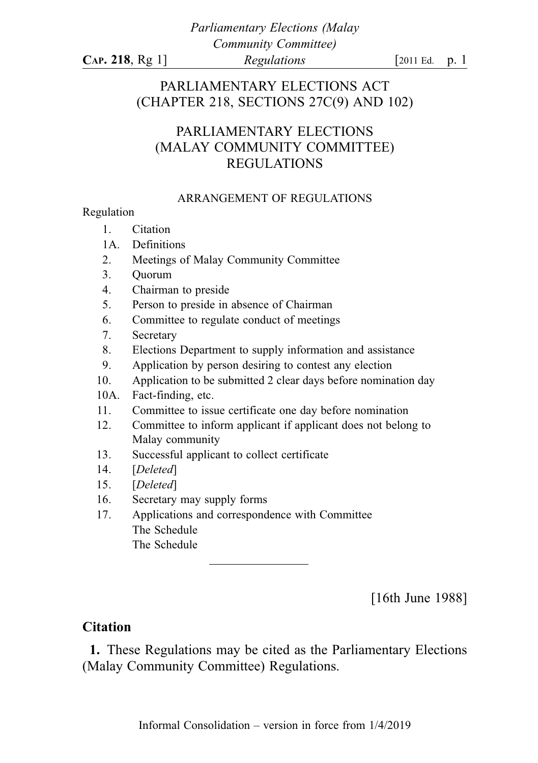Parliamentary Elections (Malay Community Committee)  $CAP. 218, Rg 1$   *[2011 Ed. p. 1* 

PARLIAMENTARY ELECTIONS ACT (CHAPTER 218, SECTIONS 27C(9) AND 102)

## PARLIAMENTARY ELECTIONS (MALAY COMMUNITY COMMITTEE) REGULATIONS

#### ARRANGEMENT OF REGULATIONS

#### Regulation

- 1. Citation
- 1A. Definitions
- 2. Meetings of Malay Community Committee
- 3. Quorum
- 4. Chairman to preside
- 5. Person to preside in absence of Chairman
- 6. Committee to regulate conduct of meetings
- 7. Secretary
- 8. Elections Department to supply information and assistance
- 9. Application by person desiring to contest any election
- 10. Application to be submitted 2 clear days before nomination day
- 10A. Fact-finding, etc.
- 11. Committee to issue certificate one day before nomination
- 12. Committee to inform applicant if applicant does not belong to Malay community
- 13. Successful applicant to collect certificate
- 14. [Deleted]
- 15. [Deleted]
- 16. Secretary may supply forms
- 17. Applications and correspondence with Committee The Schedule The Schedule

[16th June 1988]

### **Citation**

1. These Regulations may be cited as the Parliamentary Elections (Malay Community Committee) Regulations.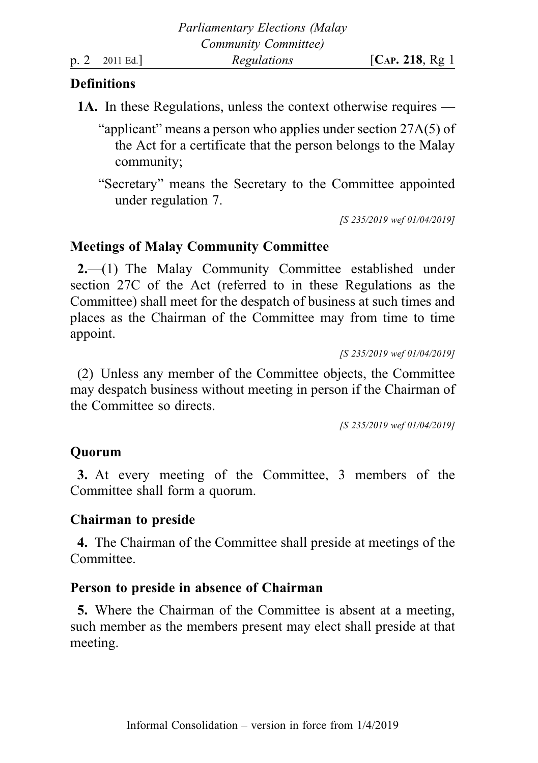## **Definitions**

- 1A. In these Regulations, unless the context otherwise requires
	- "applicant" means a person who applies under section 27A(5) of the Act for a certificate that the person belongs to the Malay community;
	- "Secretary" means the Secretary to the Committee appointed under regulation 7.

[S 235/2019 wef 01/04/2019]

## Meetings of Malay Community Committee

2.—(1) The Malay Community Committee established under section 27C of the Act (referred to in these Regulations as the Committee) shall meet for the despatch of business at such times and places as the Chairman of the Committee may from time to time appoint.

[S 235/2019 wef 01/04/2019]

(2) Unless any member of the Committee objects, the Committee may despatch business without meeting in person if the Chairman of the Committee so directs.

[S 235/2019 wef 01/04/2019]

## **Ouorum**

3. At every meeting of the Committee, 3 members of the Committee shall form a quorum.

## Chairman to preside

4. The Chairman of the Committee shall preside at meetings of the Committee.

## Person to preside in absence of Chairman

5. Where the Chairman of the Committee is absent at a meeting, such member as the members present may elect shall preside at that meeting.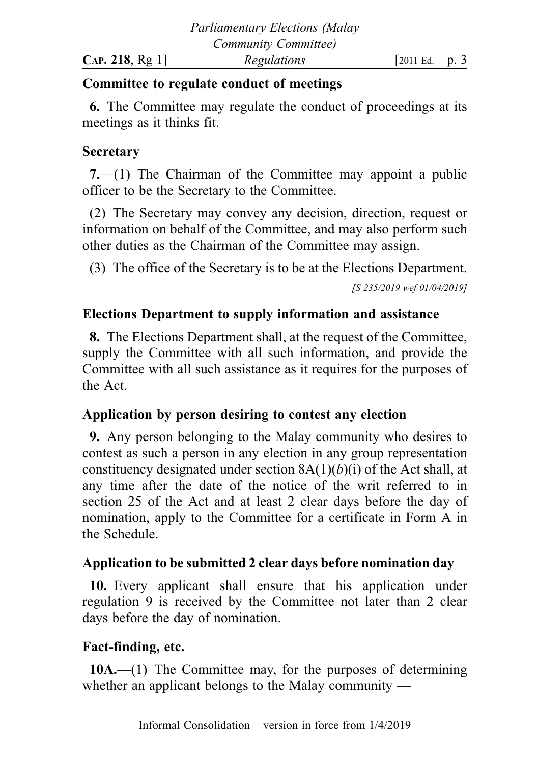## Committee to regulate conduct of meetings

6. The Committee may regulate the conduct of proceedings at its meetings as it thinks fit.

## **Secretary**

7.—(1) The Chairman of the Committee may appoint a public officer to be the Secretary to the Committee.

(2) The Secretary may convey any decision, direction, request or information on behalf of the Committee, and may also perform such other duties as the Chairman of the Committee may assign.

(3) The office of the Secretary is to be at the Elections Department.

[S 235/2019 wef 01/04/2019]

# Elections Department to supply information and assistance

8. The Elections Department shall, at the request of the Committee, supply the Committee with all such information, and provide the Committee with all such assistance as it requires for the purposes of the Act.

# Application by person desiring to contest any election

9. Any person belonging to the Malay community who desires to contest as such a person in any election in any group representation constituency designated under section  $8A(1)(b)(i)$  of the Act shall, at any time after the date of the notice of the writ referred to in section 25 of the Act and at least 2 clear days before the day of nomination, apply to the Committee for a certificate in Form A in the Schedule.

# Application to be submitted 2 clear days before nomination day

10. Every applicant shall ensure that his application under regulation 9 is received by the Committee not later than 2 clear days before the day of nomination.

# Fact-finding, etc.

10A.—(1) The Committee may, for the purposes of determining whether an applicant belongs to the Malay community —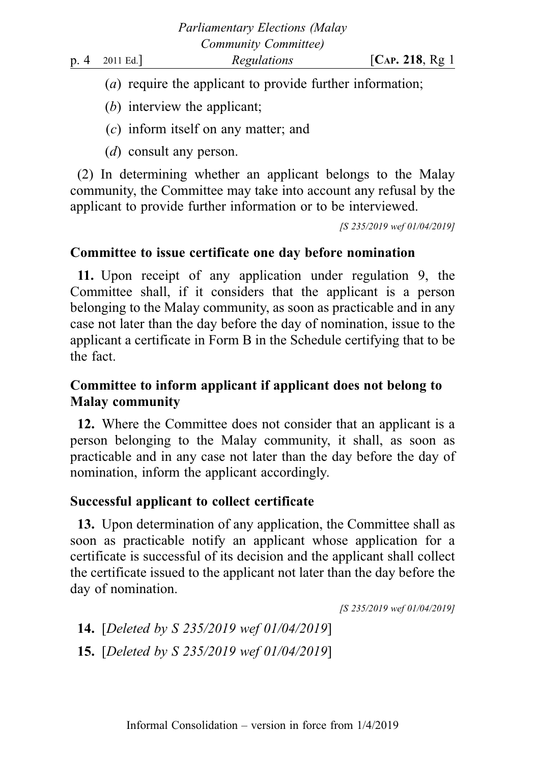- (a) require the applicant to provide further information;
- (b) interview the applicant;
- (c) inform itself on any matter; and
- (d) consult any person.

(2) In determining whether an applicant belongs to the Malay community, the Committee may take into account any refusal by the applicant to provide further information or to be interviewed.

[S 235/2019 wef 01/04/2019]

## Committee to issue certificate one day before nomination

11. Upon receipt of any application under regulation 9, the Committee shall, if it considers that the applicant is a person belonging to the Malay community, as soon as practicable and in any case not later than the day before the day of nomination, issue to the applicant a certificate in Form B in the Schedule certifying that to be the fact.

# Committee to inform applicant if applicant does not belong to Malay community

12. Where the Committee does not consider that an applicant is a person belonging to the Malay community, it shall, as soon as practicable and in any case not later than the day before the day of nomination, inform the applicant accordingly.

# Successful applicant to collect certificate

13. Upon determination of any application, the Committee shall as soon as practicable notify an applicant whose application for a certificate is successful of its decision and the applicant shall collect the certificate issued to the applicant not later than the day before the day of nomination.

[S 235/2019 wef 01/04/2019]

14. [Deleted by S 235/2019 wef 01/04/2019] 15. [Deleted by S 235/2019 wef 01/04/2019]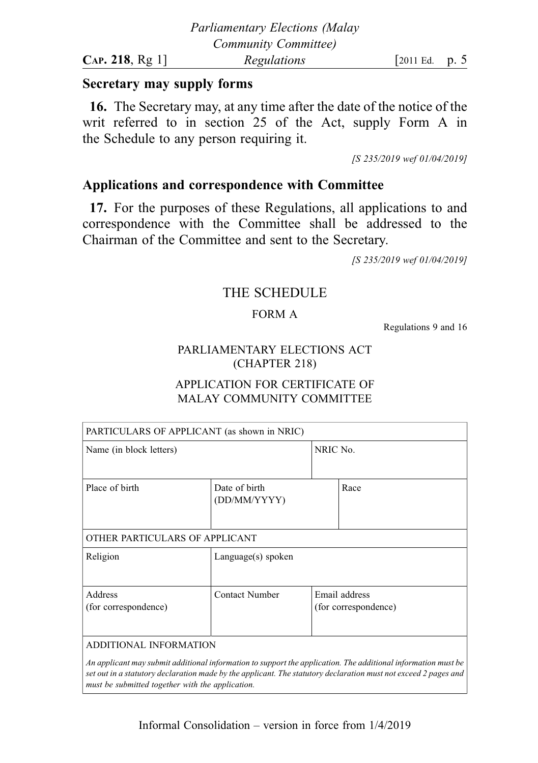### Secretary may supply forms

16. The Secretary may, at any time after the date of the notice of the writ referred to in section 25 of the Act, supply Form A in the Schedule to any person requiring it.

[S 235/2019 wef 01/04/2019]

### Applications and correspondence with Committee

17. For the purposes of these Regulations, all applications to and correspondence with the Committee shall be addressed to the Chairman of the Committee and sent to the Secretary.

[S 235/2019 wef 01/04/2019]

### THE SCHEDULE

#### FORM A

Regulations 9 and 16

#### PARLIAMENTARY ELECTIONS ACT (CHAPTER 218)

#### APPLICATION FOR CERTIFICATE OF MALAY COMMUNITY COMMITTEE

| PARTICULARS OF APPLICANT (as shown in NRIC) |                               |                                       |      |  |
|---------------------------------------------|-------------------------------|---------------------------------------|------|--|
| Name (in block letters)                     |                               | NRIC No.                              |      |  |
| Place of birth                              | Date of birth<br>(DD/MM/YYYY) |                                       | Race |  |
| OTHER PARTICULARS OF APPLICANT              |                               |                                       |      |  |
| Religion                                    | Language(s) spoken            |                                       |      |  |
| Address<br>(for correspondence)             | Contact Number                | Email address<br>(for correspondence) |      |  |
| ADDITIONAL INFORMATION                      |                               |                                       |      |  |

An applicant may submit additional information to support the application. The additional information must be set out in a statutory declaration made by the applicant. The statutory declaration must not exceed 2 pages and must be submitted together with the application.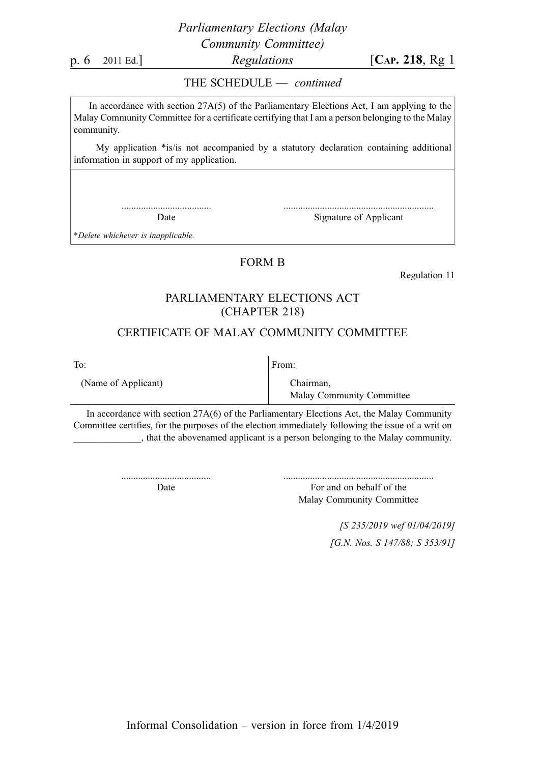### Parliamentary Elections (Malay Community Committee)

p. 6 2011 Ed.] Regulations [CAP. 218, Rg 1]

#### THE SCHEDULE — continued

In accordance with section 27A(5) of the Parliamentary Elections Act, I am applying to the Malay Community Committee for a certificate certifying that I am a person belonging to the Malay community.

My application \*is/is not accompanied by a statutory declaration containing additional information in support of my application.

> ..................................... Date

.............................................................. Signature of Applicant

\*Delete whichever is inapplicable.

#### FORM B

Regulation 11

#### PARLIAMENTARY ELECTIONS ACT (CHAPTER 218)

#### CERTIFICATE OF MALAY COMMUNITY COMMITTEE

To:

From:

(Name of Applicant)

Chairman, Malay Community Committee

In accordance with section 27A(6) of the Parliamentary Elections Act, the Malay Community Committee certifies, for the purposes of the election immediately following the issue of a writ on \_\_\_\_\_\_\_\_\_\_\_\_\_\_, that the abovenamed applicant is a person belonging to the Malay community.

> ..................................... Date

For and on behalf of the Malay Community Committee

> [S 235/2019 wef 01/04/2019] [G.N. Nos. S 147/88; S 353/91]